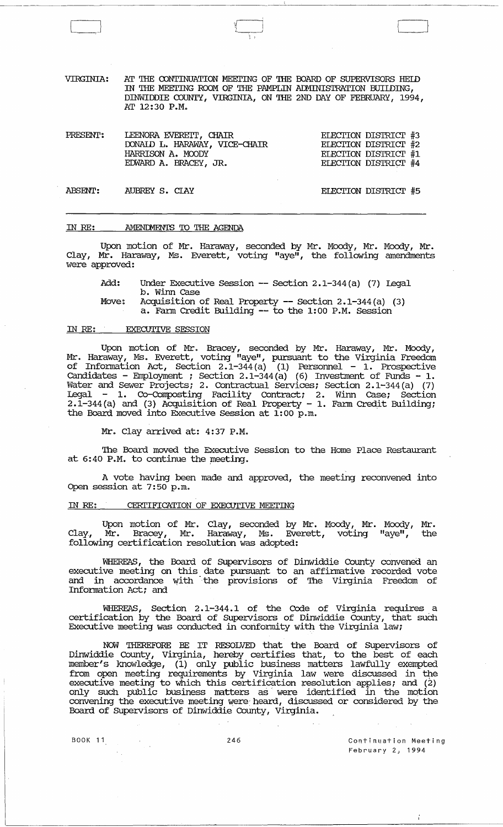VIRGINIA: AT THE CONTINUATION MEEI'ING OF THE OOARD OF SUPERVISORS REID IN THE MEETING ROOM OF THE PAMPLIN ADMINISTRATION BUILDING, DINWIDDIE COUNTY, VIRGINIA, ON THE 2ND DAY OF FEBRUARY, 1994, AT 12:30 P.M.

 $\sqrt{2}$ ; :

| PRESENT: | LEENORA EVERETT, CHAIR        | ELECTION DISTRICT #3        |  |
|----------|-------------------------------|-----------------------------|--|
|          | DONAID L. HARAWAY, VICE-CHAIR | ELECTION DISTRICT #2        |  |
|          | HARRISON A. MOODY             | <b>ELECTION DISTRICT #1</b> |  |
|          | EDWARD A. BRACEY, JR.         | ELECTION DISTRICT #4        |  |
|          |                               |                             |  |

ABSENT: AUBREY S. CIAY ELEcrION DISTRIcr #5

## IN *RE:*  AMENIMENTS 'IO THE AGENDA

Upon motion of Mr. Haraway, seconded by Mr. Moody, Mr. Moody, Mr. Clay, Mr. Haraway, Ms. Everett, voting "aye", the following amendments were approved:

Add: Under Executive Session -- Section 2.1-344(a) (7) Legal b. winn case

Move: Acquisition of Real Property -- Section 2.1-344(a) (3)

a. Fann Credit Building -- to the 1:00 P.M. Session

## IN *RE:* EXECUTIVE SESSION

Upon motion of Mr. Bracey, seconded by Mr. Haraway, Mr. Moody, Mr. Haraway, Ms. Everett, voting "aye", pursuant to the Virginia Freedom of Information Act, Section  $2.1-344(a)$  (1) Personnel - 1. Prospective Candidates - Employment ; Section  $2.1-344(a)$  (6) Investment of Funds - 1. Water and Sewer Projects; 2. Contractual Services; Section 2.1-344(a) (7) Legal 1. CO-Composting Facility Contract; 2. winn case; Section 2.1-344 (a) and (3) Acquisition of Real Property - 1. Farm Credit Building; the Board moved into Executive Session at 1:00 p.m.

Mr. Clay arrived at: 4:37 P.M.

The Board moved the Executive Session to the Home Place Restaurant at 6:40 P.M. to continue the meeting.

A vote having been made and approved, the meeting reconvened into Open session at 7:50 p.m.

## IN RE: CERTIFICATION OF EXECUTIVE MEETING

Upon motion of Mr. Clay, seconded by Mr. Moody, Mr. Moody, Mr. Clay., Mr. Bracey, Mr. Haraway, Ms. Everett, voting "aye", the following certification resolution was adopted:

WHEREAS, the Board of supervisors of Dinwiddie County convened an executive meeting on this date pursuant to an affinnative recorded vote and in accordance with the provisions of The Virginia Freedom of Information Act; and

WHEREAS, Section 2.1-344.1 of the Code of Virginia requires a certification by the Board of Supervisors of Dinwiddie County, that such Executive meeting was conducted in conformity with the Virginia law;

NOW THEREFORE BE IT RESOLVED that the Board of Supervisors of Dinwiddie County, Virginia, hereby certifies that, to the best of each member's knowledge, (1) only public business matters lawfully exempted from open meeting requirements by Virginia law were discussed in the executive meeting to which this certification resolution applies; and (2) only such public business matters as were identified in the motion convening the executive meeting were: heard, discussed or considered by the Board of Supervisors of Dinwiddie County, Virginia.

Ť.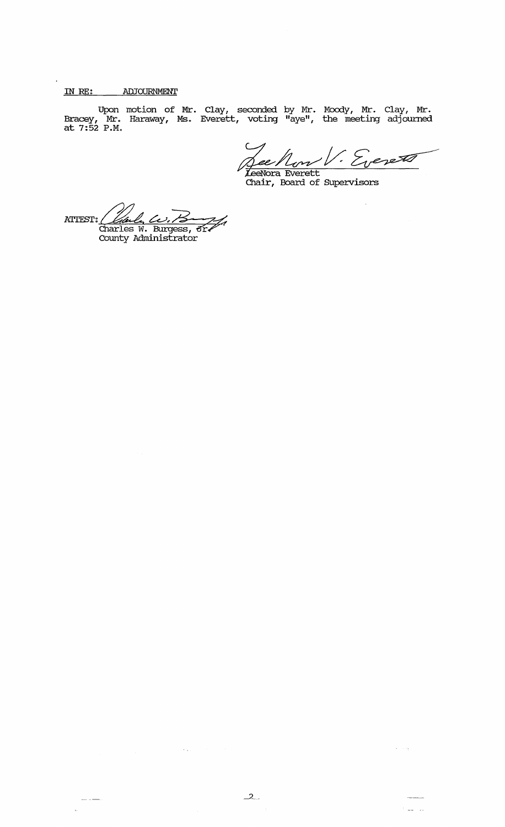# IN *RE:* ADJOURNMENT

 $\ddot{\phantom{a}}$ 

Upon motion of Mr. Clay, seconded by Mr. Moody, Mr. Clay, Mr. Bracey, Mr. Haraway, Ms. Everett, voting "aye", the meeting adjourned at  $7:52$  P.M.

See Now V. Eveneto

ATTEST; Called<br>Charles (*Charle, Co.)*<br>Charles W. Burgess, <del>or /</del><br>County Administrator

 $\mathcal{F}(\mathfrak{p}_\infty)$ 

 $\frac{1}{1-\frac{1}{1-\frac{1}{1-\frac{1}{1-\frac{1}{1-\frac{1}{1-\frac{1}{1-\frac{1}{1-\frac{1}{1-\frac{1}{1-\frac{1}{1-\frac{1}{1-\frac{1}{1-\frac{1}{1-\frac{1}{1-\frac{1}{1-\frac{1}{1-\frac{1}{1-\frac{1}{1-\frac{1}{1-\frac{1}{1-\frac{1}{1-\frac{1}{1-\frac{1}{1-\frac{1}{1-\frac{1}{1-\frac{1}{1-\frac{1}{1-\frac{1}{1-\frac{1}{1-\frac{1}{1-\frac{1}{1-\frac{1}{1-\frac{1}{1-\frac{1}{1-\frac{1}{1-\frac{1$ 

 $\alpha$  ,  $\alpha_{\rm T}$ 

 $\frac{1}{2} \frac{1}{2} \frac{1}{2} \frac{1}{2} \frac{1}{2} \frac{1}{2}$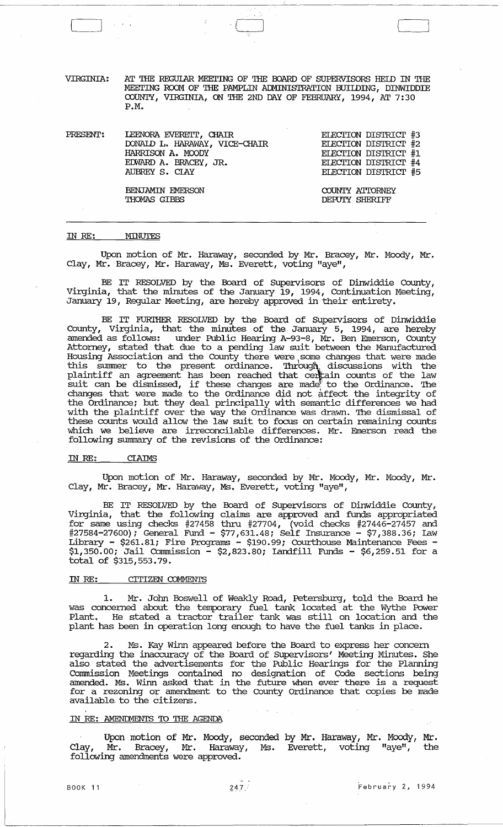VIRGINIA: AT THE REGUIAR MEETING OF THE BOARD OF SUPERVISORS HEID IN THE MEETING ROOM OF THE PAMPLIN ADMINISTRATION BUILDING, DINWIDDIE COUNTY, VIRGINIA, ON 'IRE 2ND DAY OF FEBRUARY, 1994, AT 7: 30 P.M.

PRESENT: IEENORA EVEREIT, CHAIR EIECITON DISTRICT #3 ELECTION DISTRICT #3<br>ELECTION DISTRICT #2 ELECTION DISTRICT #1 ELECTION DISTRICT #4 ELECTION DISTRICT #5 roNAID L. HARAWAY, VICE-CHAIR HARRISON A. MOODY ErWARD A. BRACEY, JR. AUBREY S. CIAY BENJAMIN EMERSON THOMAS GIBBS COUNTY ATIORNEY DEPUTY SHERIFF

#### IN *RE:*  MINUTES

Upon motion of Mr. Haraway, seconded by Mr. Bracey, Mr. Moody, Mr. Clay, Mr. Bracey, Mr. Haraway, Ms. Everett, voting "aye",

BE IT RESOLVED by the Board of SUpervisors of Dinwiddie County, Virginia, that the minutes of the January 19, 1994, Continuation Meeting, January 19, Regular Meeting, are hereby approved in their entirety.

BE IT FURIHER RESOLVED by the Board of SUpervisors of Dinwiddie County, Virginia, that the minutes of the January 5, 1994, are hereby amended as follows: under Public Hearing A-93-8, Mr. Ben Emerson, County Attorney, stated that due to a pending law suit between the Manufactured Housing Association and the County there were some changes that were made this summer to the present ordinance. Through discussions with the plaintiff an agreement has been reached that certain counts of the law prominent an agreement has been reached that centum counts of the haw<br>suit can be dismissed, if these changes are made to the Ordinance. The changes that were made to the Ordinance did not affect the integrity of the Ordinance; but they deal principally with semantic differences we had with the plaintiff over the way the Ordinance was drawn. The dismissal of these counts would allow the law suit to focus on certain remaining counts which we believe are irreconcilable differences. Mr. Emerson read the following summary of the revisions of the Ordinance:

#### IN *RE:*  **CLAIMS**

Upon motion of Mr. Haraway, seconded by Mr. Moody, Mr. Moody, Mr. Clay, Mr. Bracey, Mr. Haraway, Ms. Everett, voting "aye",

BE IT RESOLVED by the Board of SUpervisors of Dinwiddie County, Virginia, that the following claims are approved and funds appropriated for same using checks #27458 thru #27704, (void checks #27446-27457 and #27584-27600); General Fund - \$77,631.48; Self Insurance - \$7,388.36; Law Library - \$261.81; Fire Programs - \$190.99; Courthouse Maintenance Fees -  $$1,350.00;$  Jail Commission - \$2,823.80; Landfill Funds - \$6,259.51 for a total of \$315,553.79.

### IN RE: CITIZEN COMMENTS

1. Mr. John Boswell of Weakly Road, Petersburg, told the Board he was concerned about the temporary fuel tank located at the Wythe Power was concerned about the comporary ruer can rouded at the wythe rower plant has been in operation long enough to have the fuel tanks in place.

2. Ms. Kay winn appeared before the Board to express her concern regarding the inaccuracy of the Board of supervisors' Meeting Minutes. She also stated the advertisements for the Public Hearings for the Planning Commission Meetings contained no designation of Code sections being amended. Ms. winn asked that in the future when ever there is a request for a rezoning or amendment to the County Ordinance that copies be made available to the citizens.

## IN RE: AMENDMENTS TO THE AGENDA

Upon motion of Mr. Moody, seconded by Mr. Haraway, Mr. Moody, Mr. Clay, Mr. Bracey, Mr. Haraway, Ms. Everett, voting "aye", following amendments were approved.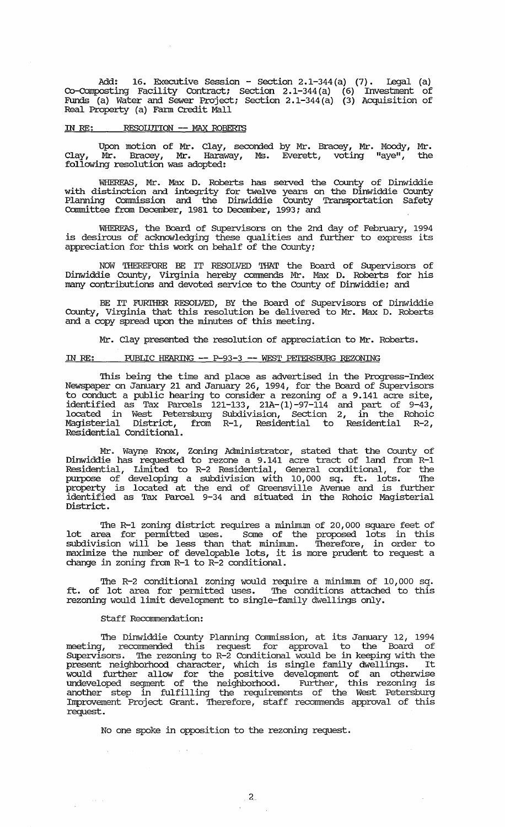Add: 16. Executive session - Section 2.1-344(a) (7). legal (a) Co-Composting Facility contract; section 2.1-344(a) (6) Invesbnent of Funds (a) Water and Sewer Project; section 2.1-344(a) (3) Acquisition of Real Property (a) Fann Credit Mall

## IN RE: RESOIDTION **--** MAX ROBERI'S

Upon motion of Mr. Clay, seconded by Mr. Bracey, Mr. Moody, Mr. Clay, Mr. Bracey, Mr. Haraway, Ms. Everett, voting "aye", the following resolution was adopted:

WHEREAS, Mr. Max D. Roberts has served the County of Dinwiddie with distinction and integrity for twelve years on the Dinwiddie County Planning comnission and the Dinwiddie County Transportation Safety Committee from December, 1981 to December, 1993; and

WHEREAS, the Board of Supervisors on the 2nd day of February, 1994 is desirous of acknowledging these qualities and further to express its appreciation for this work on behalf of the County;

NOW *THEREFORE* BE IT RESOLVED THAT the Board of Supervisors of Dinwiddie County, Virginia hereby commends Mr. Max D. Roberts for his many contributions and devoted service to the County of Dinwiddie; and

BE IT FURTHER RESOLVED, BY the Board of Supervisors of Dinwiddie County, Virginia that this resolution be delivered to Mr. Max D. Roberts and a copy spread upon the minutes of this meeting.

Mr. Clay presented the resolution of appreciation to Mr. Roberts.

## IN *RE:* PUBLIC HEARING **--** P-93-3 **--** WEST PEI'ERSBURG REZONING

This being the time and place as advertised in the Progress-Index Newspaper on January 21 and January 26, 1994, for the Board of supervisors to conduct a public hearing to consider a rezoning of a 9.141 acre site, identified as Tax Parcels 121-133, 2IA-(1)-97-114 and part of 9-43, located in West Petersburg Subdivision, Section 2, in the Rohoic Magisterial District, from R-1, Residential to Residential R-2, Residential Conditional.

Mr. Wayne Knox, Zoning Administrator, stated that the County of Dinwiddie has requested to rezone a 9.141 acre tract of land from R-1 Residential, Limited to R-2 Residential, General conditional, for the purpose of developing a subdivision with 10,000 sq. ft. lots. The property is located at the end of Greensville Avenue and is further identified as Tax Parcel 9-34 and situated in the Rohoic Magisterial District.

The R-1 zoning district requires a minimum of 20,000 square feet of lot area for permitted uses. Some of the proposed lots in this subdivision will be less than that minimum. Therefore, in order to maximize the number of developable lots, it is more prudent to request a change in zoning from R-1 to R-2 conditional.

The R-2 conditional zoning would require a minimum of 10,000 sq. ft. of lot area for permitted uses. The conditions attached to this rezoning would limit development to single-family dwellings only.

#### Staff Recommendation:

 $\sim 10^{-1}$ 

The Dinwiddie County Planning Comnission, at its January 12, 1994 meeting, recommended this request for approval to the Board of Supervisors. The rezoning to R-2 Conditional would be in keeping with the supervisors. The reconing to k-2 conditional would be in keeping with the present neighborhood character, which is single family dwellings. It would further allow for the positive development of an otherwise undeveloped segment of the neighborhood. Further, this rezoning is another step in fulfilling the requirements of the West Petersburg Improvement Proj ect Grant. Therefore, staff reconunends approval of this request.

No one spoke in opposition to the rezoning request.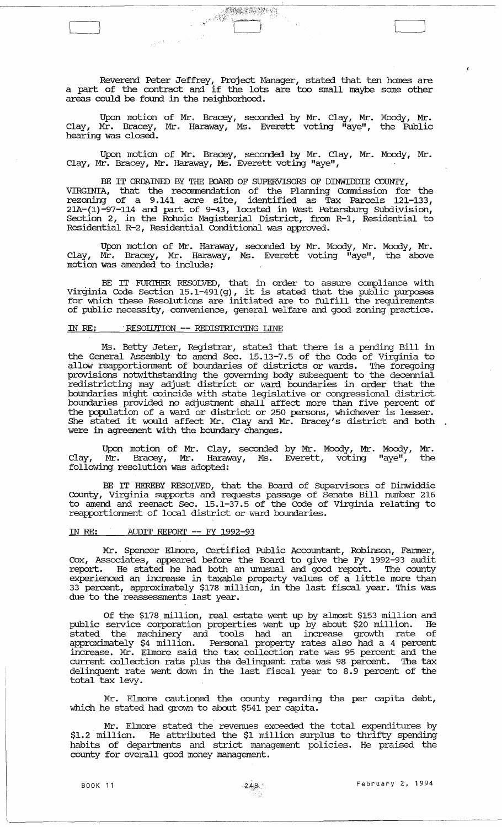Reverend Peter Jeffrey, Project Manager, stated that ten homes are a part of the contract and if the lots are too small maybe some other areas could be found in the neighborhood.

[ [ ]

Upon motion of Mr. Bracey, seconded by Mr. Clay, Mr. Moody, Mr • Clay, Mr. Bracey, Mr. Haraway, Ms. Everett voting "aye", the Public hearing was closed.

Upon motion of Mr. Bracey, seconded by Mr. Clay, Mr. Moody, Mr. Clay, Mr. Bracey, Mr. Haraway, Ms. Everett voting "aye",

BE IT ORDAINED BY THE BOARD OF SUPERVISORS OF DINWIDDIE COUNTY, VIRGINIA, that the recomnendation of the Planning comnission for the rezoning of a 9.141 acre site, identified as Tax Parcels 121-133, 21A-(1)-97-114 and part of 9-43, located in West Petersburg Subdivision, Section 2, in the Rohoic Magisterial District, from R-1, Residential to Residential R-2, Residential Conditional was approved.

Upon motion of Mr. Haraway, seconded by Mr. Moody, Mr. Moody, Mr. Clay, Mr. Bracey, Mr. Haraway, Ms. Everett voting  $\overline{\mathfrak{n}}$ aye", the above motion was amended to include;

BE IT FURTHER RESOLVED, that in order to assure compliance with Virginia Code Section 15.1-491(g), it is stated that the public purposes for which these Resolutions are initiated are to fulfill the requirements of public necessity, convenience, general welfare and good zoning practice.

## IN *RE:* . RESOIIJTION **--** REDISTRICTING LINE

Ms. Betty Jeter, Registrar, stated that there is a pending Bill in the General Assembly to amend Sec. 15.13-7.5 of the Code of Virginia to allow reapportionment of boundaries of districts or wards. The foregoing provisions notwithstanding the governing body subsequent to the decennial redistricting may adjust district or ward boundaries in order that the boundaries might coincide with state legislative or congressional district boundaries provided no adjustment shall affect more than five percent of the population of a ward or district or 250 persons, whichever is lesser. die population of a ward or district or 250 persons, whichever is lesser.<br>She stated it would affect Mr. Clay and Mr. Bracey's district and both .<br>were in agreement with the boundary changes.

Upon motion of Mr. Clay, seconded by Mr. Moody, Mr. Moody, Mr. Clay, Mr. Bracey, Mr. Haraway, Ms. Everett, voting "aye", the clay, Mr. Bracey, Mr. Haraw<br>following resolution was adopted:

BE IT HEREBY RESOLVED, that the Board of Supervisors of Dinwiddie County, Virginia supports and requests passage of Senate Bill number 216 to amend and reenact Sec. 15.1-37.5 of the Code of Virginia relating to reapportionment of local district or ward boundaries.

### IN *RE:* AUDIT REPORT **--** FY 1992-93

Mr. Spencer Elmore, Certified Public Accountant, Robinson, Fanner, Cox, Associates, appeared before the Board to give the Fy 1992-93 audit report. He stated he had both an unusual and good report. The county experienced an increase in taxable property values of a little more than 33 percent, approximately \$178 million, in the last fiscal year. This was due to the reassessments last year.

Of the \$178 million, real estate went up by almost \$153 million and public service corporation properties went up by about \$20 million. He stated the machinery and tools had an increase growth rate of approximately \$4 million. Personal property rates also had a 4 percent increase. Mr. Elmore said the tax collection rate was 95 percent and the current collection rate plus the delinquent rate was 98 percent. The tax delinquent rate went down in the last fiscal year to 8.9 percent of the total tax levy.

Mr. Elmore cautioned the county regarding the per capita debt, which he stated had grown to about \$541 per capita.

. Mr. Elmore stated the revenues exceeded the total expenditures by \$1. 2 million. He attributed the \$1 million surplus to thrifty spending habits of departments and strict management policies. He praised the county for overall good money management.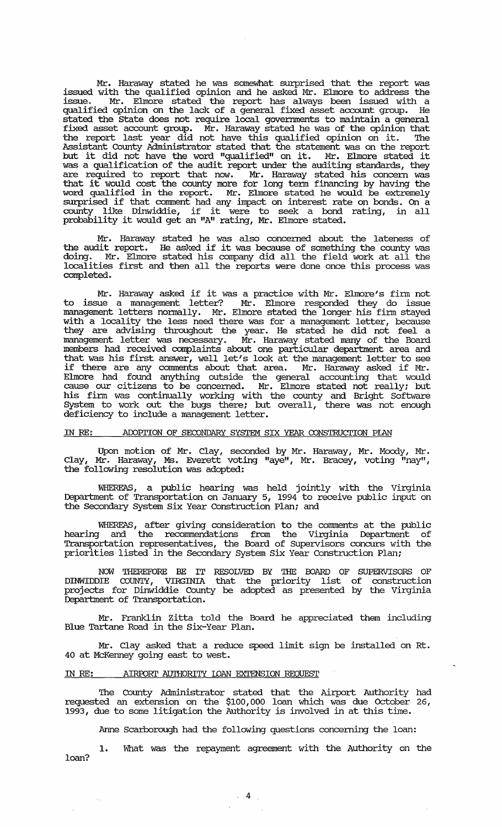Mr. Haraway stated he was somewhat surprised that the report was issued with the qualified opinion and he asked Mr. Elmore to address the issue. Mr. Elmore stated the report has always been issued with a qualified opinion on the lack of a general fixed asset account group. He stated the state does not require local goverrnnents to maintain a general fixed asset account group. Mr. Haraway stated he was of the opinion that the report last year did not have this qualified opinion on it. The Assistant County Administrator stated that the statement was on the report but it did not have the word "qualified" on it. Mr. Elmore stated it was a qualification of the audit report under the auditing standards, they are required to report that now. Mr. Haraway stated his concern was that it would cost the county more for long term financing by having the word qualified in the report. Mr. Elmore stated he would be extremely surprised if that comment had any impact on interest rate on bonds. On a county like Dinwiddie, if it were to seek a bond rating, in all probability it would get an "Ali rating, Mr. Elmore stated.

Mr.. Haraway stated he was also concerned about the lateness of the audit report. He asked if it was because of something the county was doing. Mr. Elmore stated his company did all the field work at all the localities first and then all the reports were done once this process was completed.

Mr. Haraway asked if it was a practice with Mr. Elmore's finn not to issue a management letter? Mr. Elmore responded they do issue management letters normally. Mr. Elmore stated the longer his firm stayed with a locality the less need there was for a management letter, because they are advising throughout the year. He stated he did not feel a management letter was necessary. Mr. Haraway stated many of the Board members had received complaints about one particular department area and that was his first answer, well let's look at the management letter to see if there are any connnents about that area. Mr. Haraway asked if Mr. Elmore had found anything outside the general accounting that would cause our citizens to be concerned. Mr. Elmore stated not really; but his finn was continually working with the county and Bright Software System to work out the bugs there; but overall, there was not enough deficiency to include a management letter.

### IN RE: ADOPTION OF SECONDARY SYSTEM SIX YEAR CONSTRUCTION PIAN

Upon motion of Mr. clay, seconded by Mr. Haraway, Mr. Moody, Mr • Clay, Mr. Haraway, Ms. Everett voting "aye", Mr. Bracey, voting "nay", the following resolution was adopted:

WHEREAS, a public hearing was held jointly with the Virginia Department of Transportation on January 5, 1994 to receive public input on the Secondary System six Year construction Plan; and

WHEREAS, after giving consideration to the comments at the public hearing and the recommendations from the Virginia Department of Transportation representatives, the Board of Supervisors concurs with the priorities listed in the Secondary System Six Year construction Plan;

NOW THEREFORE BE IT RESOLVED BY THE BOARD OF SUPERVISORS OF<br>DINWIDDIE COUNTY, VIRGINIA that the priority list of construction projects for Dinwiddie County be adopted as presented by the Virginia Department of Transportation.

Mr. Franklin zitta told the Board he appreciated them including Blue Tartane Road in the Six-Year Plan.

Mr. Clay asked that a reduce speed limit sign be installed on Rt. 40 at McKenney going east to west.

## IN RE: AIRPORT AUTHORITY LOAN EXTENSION REQUEST

 $\epsilon_{\rm g}$ 

The County Administrator stated that the Airport Authority had requested an extension on the \$100,000 loan which was due october 26, 1993, due to some litigation the Authority is involved in at this time.

Anne Scarborough had the following questions concerning the loan:

1. What was the repayment agreement with the Authority on the loan?

. 4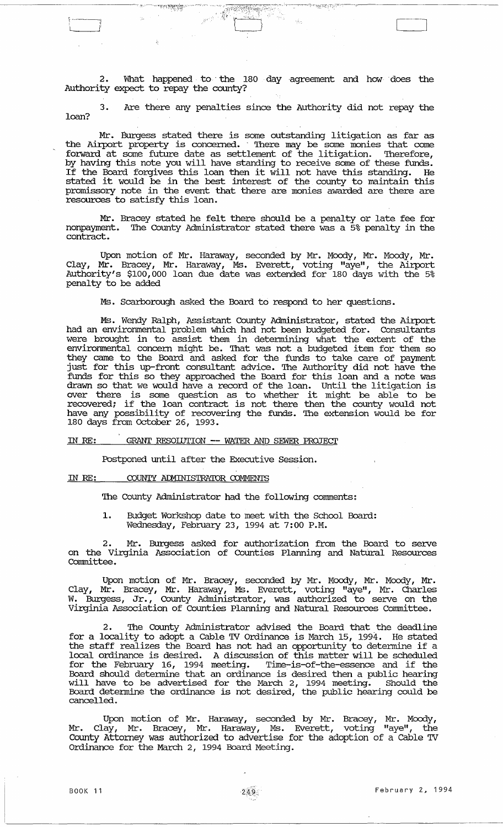2. What happened to the 180 day agreement and how does the Authority expect to repay the county?

 $\mathbb{E} \left[ \frac{1}{\sqrt{2\pi}} \right] = \frac{1}{2\pi} \left[ \frac{1}{2\pi} \right] = \frac{1}{2\pi} \left[ \frac{1}{2\pi} \right] = \frac{1}{2\pi} \left[ \frac{1}{2\pi} \right] = \frac{1}{2\pi} \left[ \frac{1}{2\pi} \right] = \frac{1}{2\pi} \left[ \frac{1}{2\pi} \right] = \frac{1}{2\pi} \left[ \frac{1}{2\pi} \right] = \frac{1}{2\pi} \left[ \frac{1}{2\pi} \right] = \frac{1}{2\pi} \left[ \frac{1}{2\pi$ 

উপাস্কুরের*্য*ুন্

res**mento** 

3. Are there any penalties since the Authority did not repay the loan?

Mr. Burgess stated there is some outstanding litigation as far as the Airport property is concerned .. There may be some monies that come forward at some future date as settlement of the litigation. Therefore, by having this note you will have standing to receive some of these funds. by having this hote you will have standing to feceive some of these funds.<br>If the Board forgives this loan then it will not have this standing. He It die board forgives diffs foan dien it will not have diffs standing. He stated it would be in the best interest of the county to maintain this promissory note in the event that there are monies awarded are there are resources to satisfy this loan.

Mr. Bracey stated he felt there should be a penalty or late fee for nonpayment. The County Administrator stated there was a 5% penalty in the contract.

Upon motion of Mr. Haraway, seconded by Mr. Moody, Mr. Moody, Mr. Clay, Mr. Bracey, Mr. Haraway, Ms. Everett, voting "aye", the Airport Authority's \$100,000 loan due date was extended for 180 days with the 5% penalty to be added

Ms. Scarborough asked the Board to respond to her questions.

Ms. Wendy Ralph, Assistant County Administrator, stated the Airport had an environmental problem which had not been budgeted for. Consultants were brought in to assist them in detennining what the extent of the environmental concern might be. That was not a budgeted item for them so they came to the Board and asked for the funds to take care of payment just for this up-front consultant advice. The Authority did not have the funds for this so they approached the Board for this loan and a note was drawn so that we would have a record of the loan. until the litigation is over there is some question as to whether it might be able to be be the different is some question as to whether it might be able to be have any possibility of recovering the funds. The extension would be for 180 days from October 26, 1993.

## IN RE: GRANT RESOIDrION **--** WATER AND SEWER PROJEcr

Postponed until after the Executive Session.

## IN RE: COUNTY ADMINISTRATOR COMMENTS

The County Administrator had the following comments:

1. Budget Workshop date to meet with the School Board: Wednesday, February 23, 1994 at 7:00 P.M.

2. Mr. Burgess asked for authorization from the Board to serve on the Virginia Association of Counties Planning and Natural Resources committee.

Upon motion of Mr. Bracey, seconded by Mr. Moody, Mr. Moody, Mr. Clay, Mr. Bracey, Mr. Haraway, Ms. Everett, voting "aye", Mr. Charles W. Burgess, Jr., County Administrator, was authorized to serve on the Virginia Association of Counties Planning and Natural Resources Committee.

2. The County Administrator advised the Board that the deadline for a locality to adopt a Cable TV Ordinance is March 15, 1994. He stated the staff realizes the Board has not had an opportunity to detennine if a local ordinance is desired. A discussion of this matter will be scheduled for the February 16, 1994 meeting. Time-is-of-the-essence and if the Board should detennine that an ordinance is desired then a public hearing will have to be advertised for the March 2, 1994 meeting. Should the with nave to be davertised for the narrary, 1994 meeting. Should the Board determine the ordinance is not desired, the public hearing could be cancelled.

Upon motion of Mr. Haraway, seconded by Mr. Bracey, Mr. Moody, Mr. Clay, Mr. Bracey, Mr. Haraway, Ms. Everett, voting "aye", the County Attorney was authorized to advertise for the adoption of a Cable TV Ordinance for the March 2, 1994 Board Meeting.

 $~\cdot~$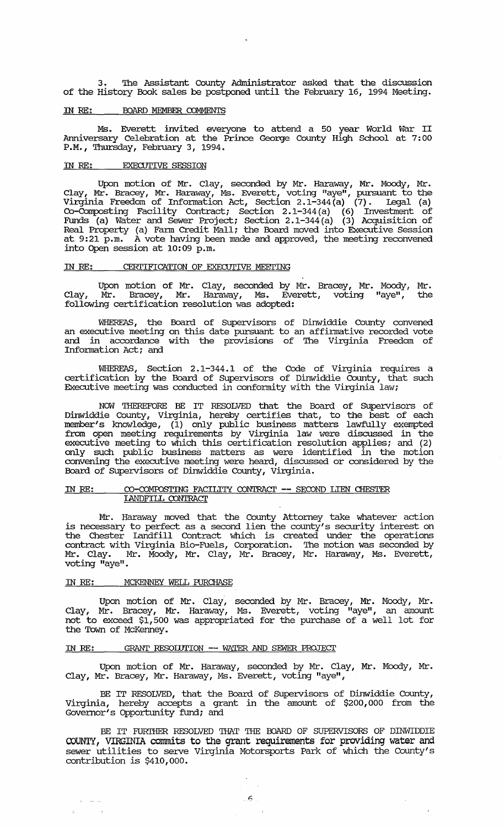3. The Assistant County Administrator asked that the discussion of the History Book sales be postponed until the February 16, 1994 Meeting.

## IN RE: BOARD MEMBER COMMENTS

Ms. Everett invited everyone to attend a 50 year World War II Anniversary Celebration at the Prince George County High School at 7: 00 P.M., Thursday, February 3, 1994.

## IN RE: EXECUTIVE SESSION

Upon motion of Mr. Clay, seconded by Mr. Haraway, Mr. Moody, Mr. Clay, Mr. Bracey, Mr. Haraway, Ms. Everett, voting "aye", pursuant to the Virginia Freedom of Information Act, Section 2. 1-344 (a) (7). Legal (a) Co-Composting Facility Contract; Section 2. 1-344 (a) (6) Investment of Funds (a) Water and Sewer Project; section 2.1-344(a) (3) Acquisition of Real Property (a) Fann Credit Mall; the Board moved into Executive Session at 9:21 p.m. A vote having been made and approved, the meeting reconvened into Open session at 10:09 p.m.

## IN RE: CERTIFICATION OF EXECUTIVE MEETING

Upon motion of Mr. Clay, seconded by Mr. Bracey, Mr. Moody, Mr. Clay, Mr. Bracey, Mr. Haraway, Ms. Everett, voting "aye", the Clay, Mr. Bracey, Mr. Haraway, Ms. Eve<br>following certification resolution was adopted:

WHEREAS, the Board of SUpervisors of Dinwiddie County convened an executive meeting on this date pursuant to an affirmative recorded vote and in accordance with the provisions of The Virginia Freedom of Information Act; and

WHEREAS, Section 2.1-344.1 of the Code of Virginia requires a certification by the Board of SUpervisors of Dinwiddie county, that such Executive meeting was conducted in conformity with the Virginia law;

NOW THEREFORE BE IT RESOLVED that the Board of SUpervisors of Dinwiddie County, Virginia, hereby certifies that, to the best of each member's knowledge, (1) only public business matters lawfully exempted from open meeting requirements by Virginia law were discussed in the executive meeting to which this certification resolution applies; and (2) only such public business matters as were identified in the motion convening the executive meeting were heard, discussed or considered by the Board of Supervisors of Dinwiddie County, Virginia.

## IN RE: CO-COMPOSTING FACILITY CONTRACT -- SECOND LIEN CHESTER IANDFILL CONTRACT

Mr. Haraway moved that the County Attorney take whatever action is necessary to perfect as a second lien the county's security interest on the Chester landfill Contract which is created under the operations contract with Virginia Bio-Fuels, Corporation. The motion was seconded by Mr. Clay. Mr. Moody, Mr. Clay, Mr. Bracey, Mr. Haraway, Ms. Everett, voting "aye".

## IN RE: MCKENNEY WELL PURCHASE

Upon motion of Mr. Clay, seconded by Mr. Bracey, Mr. Moody, Mr. Clay, Mr. Bracey, Mr. Haraway, Ms. Everett, voting "aye", an amount not to exceed \$1,500 was appropriated for the purchase of a well lot for the Town of McKenney.

## IN RE: GRANT RESOIDTION -- WATER AND SEWER PROJECT

Upon motion of Mr. Haraway, seconded by Mr. Clay, Mr. Moody, Mr. Clay, Mr. Bracey, Mr. Haraway, Ms. Everett, voting "aye",

BE IT RESOLVED, that the Board of supervisors of Dinwiddie County, Virginia, hereby accepts a grant in the amount of \$200,000 from the Governor's Opportunity fund; and

BE IT FURTHER RESOLVED THAT THE BOARD OF SUPERVISORS OF DINWIDDIE COUNTY, VIRGINIA commits to the grant requirements for providing water and sewer utilities to serve Virginia Motorsports Park of which the County's contribution is \$410,000.

 $\bar{\beta}$ 

 $\sim$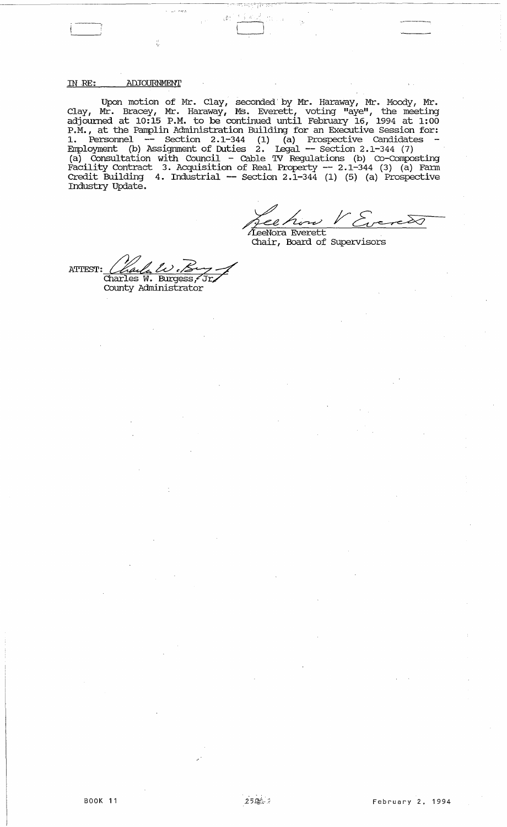IN .RE: ADJOURNMENT

Upon motion of Mr. Clay, seconded' by Mr. Haraway, Mr. Moody, Mr • Clay, Mr. Bracey, Mr. Haraway, MS. Everett, voting "ayell , the meeting adjomned at 10:15 P.M. to be continued until February 16, 1994 at 1:00 P.M., at the Pamplin Administration Building for an Executive Session for: 1. Personnel -- Section 2.1-344 (1) (a) Prospective Candidates Employment (b) Assignment of Duties 2. legal **--** section 2.1-344 (7) (a) Consultation with Council - Cable TV Regulations (b) co-composting Facility Contract 3. Acquisition of Real Property **--** 2.1-344 (3) (a) Fann Credit Building 4. Industrial **--** Section 2.1-344 (1) (5) (a) Prospective Industry Update. .

 $\sim$   $\sim$   $\sim$   $\sim$ 

Le how V Evereto<br>TeeNora Everett<br>Chair, Board of Supervisors

ATTEST: *Charles W. Kory*<br>Charles W. Burgess, Jr. County Administrator